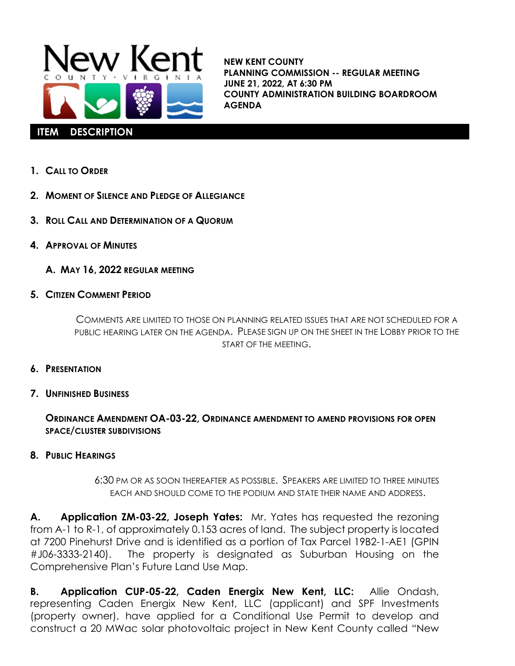

**NEW KENT COUNTY PLANNING COMMISSION -- REGULAR MEETING JUNE 21, 2022, AT 6:30 PM COUNTY ADMINISTRATION BUILDING BOARDROOM AGENDA**

- **1. CALL TO ORDER**
- **2. MOMENT OF SILENCE AND PLEDGE OF ALLEGIANCE**
- **3. ROLL CALL AND DETERMINATION OF A QUORUM**
- **4. APPROVAL OF MINUTES**
	- **A. MAY 16, 2022 REGULAR MEETING**
- **5. CITIZEN COMMENT PERIOD**

COMMENTS ARE LIMITED TO THOSE ON PLANNING RELATED ISSUES THAT ARE NOT SCHEDULED FOR A PUBLIC HEARING LATER ON THE AGENDA. PLEASE SIGN UP ON THE SHEET IN THE LOBBY PRIOR TO THE START OF THE MEETING.

- **6. PRESENTATION**
- **7. UNFINISHED BUSINESS**

## **ORDINANCE AMENDMENT OA-03-22, ORDINANCE AMENDMENT TO AMEND PROVISIONS FOR OPEN SPACE/CLUSTER SUBDIVISIONS**

**8. PUBLIC HEARINGS**

6:30 PM OR AS SOON THEREAFTER AS POSSIBLE. SPEAKERS ARE LIMITED TO THREE MINUTES EACH AND SHOULD COME TO THE PODIUM AND STATE THEIR NAME AND ADDRESS.

**A. Application ZM-03-22, Joseph Yates:** Mr. Yates has requested the rezoning from A-1 to R-1, of approximately 0.153 acres of land. The subject property is located at 7200 Pinehurst Drive and is identified as a portion of Tax Parcel 19B2-1-AE1 (GPIN #J06-3333-2140). The property is designated as Suburban Housing on the Comprehensive Plan's Future Land Use Map.

**B. Application CUP-05-22, Caden Energix New Kent, LLC:** Allie Ondash, representing Caden Energix New Kent, LLC (applicant) and SPF Investments (property owner), have applied for a Conditional Use Permit to develop and construct a 20 MWac solar photovoltaic project in New Kent County called "New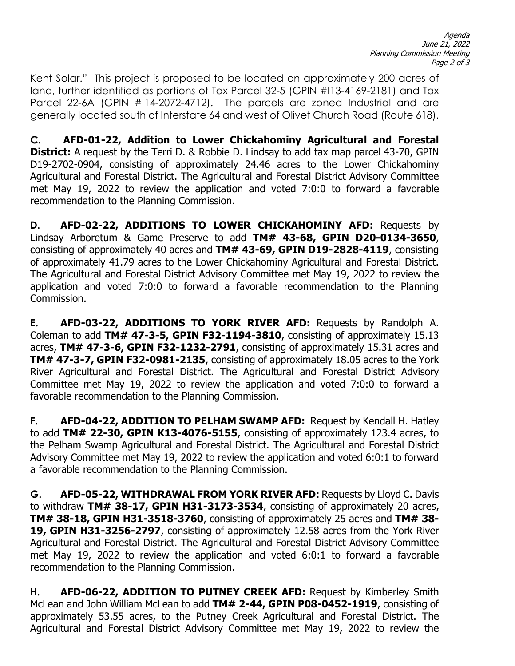Kent Solar." This project is proposed to be located on approximately 200 acres of land, further identified as portions of Tax Parcel 32-5 (GPIN #I13-4169-2181) and Tax Parcel 22-6A (GPIN #114-2072-4712). The parcels are zoned Industrial and are generally located south of Interstate 64 and west of Olivet Church Road (Route 618).

**C. AFD-01-22, Addition to Lower Chickahominy Agricultural and Forestal District:** A request by the Terri D. & Robbie D. Lindsay to add tax map parcel 43-70, GPIN D19-2702-0904, consisting of approximately 24.46 acres to the Lower Chickahominy Agricultural and Forestal District. The Agricultural and Forestal District Advisory Committee met May 19, 2022 to review the application and voted 7:0:0 to forward a favorable recommendation to the Planning Commission.

**D. AFD-02-22, ADDITIONS TO LOWER CHICKAHOMINY AFD:** Requests by Lindsay Arboretum & Game Preserve to add **TM# 43-68, GPIN D20-0134-3650**, consisting of approximately 40 acres and **TM# 43-69, GPIN D19-2828-4119**, consisting of approximately 41.79 acres to the Lower Chickahominy Agricultural and Forestal District. The Agricultural and Forestal District Advisory Committee met May 19, 2022 to review the application and voted 7:0:0 to forward a favorable recommendation to the Planning Commission.

**E. AFD-03-22, ADDITIONS TO YORK RIVER AFD:** Requests by Randolph A. Coleman to add **TM# 47-3-5, GPIN F32-1194-3810**, consisting of approximately 15.13 acres, **TM# 47-3-6, GPIN F32-1232-2791**, consisting of approximately 15.31 acres and **TM# 47-3-7, GPIN F32-0981-2135**, consisting of approximately 18.05 acres to the York River Agricultural and Forestal District. The Agricultural and Forestal District Advisory Committee met May 19, 2022 to review the application and voted 7:0:0 to forward a favorable recommendation to the Planning Commission.

**F. AFD-04-22, ADDITION TO PELHAM SWAMP AFD:** Request by Kendall H. Hatley to add **TM# 22-30, GPIN K13-4076-5155**, consisting of approximately 123.4 acres, to the Pelham Swamp Agricultural and Forestal District. The Agricultural and Forestal District Advisory Committee met May 19, 2022 to review the application and voted 6:0:1 to forward a favorable recommendation to the Planning Commission.

**G. AFD-05-22, WITHDRAWAL FROM YORK RIVER AFD:** Requests by Lloyd C. Davis to withdraw **TM# 38-17, GPIN H31-3173-3534**, consisting of approximately 20 acres, **TM# 38-18, GPIN H31-3518-3760**, consisting of approximately 25 acres and **TM# 38- 19, GPIN H31-3256-2797**, consisting of approximately 12.58 acres from the York River Agricultural and Forestal District. The Agricultural and Forestal District Advisory Committee met May 19, 2022 to review the application and voted 6:0:1 to forward a favorable recommendation to the Planning Commission.

**H. AFD-06-22, ADDITION TO PUTNEY CREEK AFD:** Request by Kimberley Smith McLean and John William McLean to add **TM# 2-44, GPIN P08-0452-1919**, consisting of approximately 53.55 acres, to the Putney Creek Agricultural and Forestal District. The Agricultural and Forestal District Advisory Committee met May 19, 2022 to review the